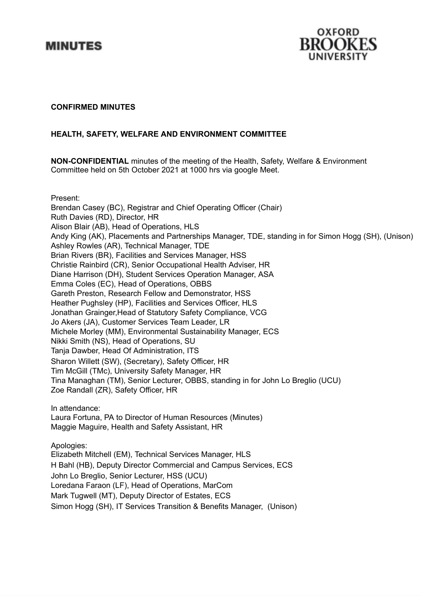



#### **CONFIRMED MINUTES**

# **HEALTH, SAFETY, WELFARE AND ENVIRONMENT COMMITTEE**

**NON-CONFIDENTIAL** minutes of the meeting of the Health, Safety, Welfare & Environment Committee held on 5th October 2021 at 1000 hrs via google Meet.

Present:

Brendan Casey (BC), Registrar and Chief Operating Officer (Chair) Ruth Davies (RD), Director, HR Alison Blair (AB), Head of Operations, HLS Andy King (AK), Placements and Partnerships Manager, TDE, standing in for Simon Hogg (SH), (Unison) Ashley Rowles (AR), Technical Manager, TDE Brian Rivers (BR), Facilities and Services Manager, HSS Christie Rainbird (CR), Senior Occupational Health Adviser, HR Diane Harrison (DH), Student Services Operation Manager, ASA Emma Coles (EC), Head of Operations, OBBS Gareth Preston, Research Fellow and Demonstrator, HSS Heather Pughsley (HP), Facilities and Services Officer, HLS Jonathan Grainger,Head of Statutory Safety Compliance, VCG Jo Akers (JA), Customer Services Team Leader, LR Michele Morley (MM), Environmental Sustainability Manager, ECS Nikki Smith (NS), Head of Operations, SU Tanja Dawber, Head Of Administration, ITS Sharon Willett (SW), (Secretary), Safety Officer, HR Tim McGill (TMc), University Safety Manager, HR Tina Managhan (TM), Senior Lecturer, OBBS, standing in for John Lo Breglio (UCU) Zoe Randall (ZR), Safety Officer, HR

In attendance:

Laura Fortuna, PA to Director of Human Resources (Minutes) Maggie Maguire, Health and Safety Assistant, HR

Apologies:

Elizabeth Mitchell (EM), Technical Services Manager, HLS H Bahl (HB), Deputy Director Commercial and Campus Services, ECS John Lo Breglio, Senior Lecturer, HSS (UCU) Loredana Faraon (LF), Head of Operations, MarCom Mark Tugwell (MT), Deputy Director of Estates, ECS Simon Hogg (SH), IT Services Transition & Benefits Manager, (Unison)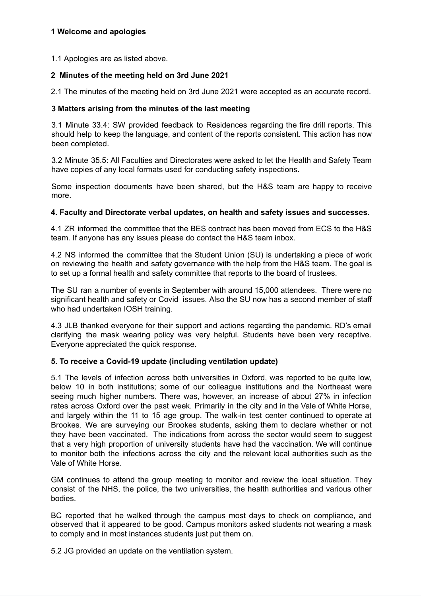# **1 Welcome and apologies**

1.1 Apologies are as listed above.

# **2 Minutes of the meeting held on 3rd June 2021**

2.1 The minutes of the meeting held on 3rd June 2021 were accepted as an accurate record.

#### **3 Matters arising from the minutes of the last meeting**

3.1 Minute 33.4: SW provided feedback to Residences regarding the fire drill reports. This should help to keep the language, and content of the reports consistent. This action has now been completed.

3.2 Minute 35.5: All Faculties and Directorates were asked to let the Health and Safety Team have copies of any local formats used for conducting safety inspections.

Some inspection documents have been shared, but the H&S team are happy to receive more.

#### **4. Faculty and Directorate verbal updates, on health and safety issues and successes.**

4.1 ZR informed the committee that the BES contract has been moved from ECS to the H&S team. If anyone has any issues please do contact the H&S team inbox.

4.2 NS informed the committee that the Student Union (SU) is undertaking a piece of work on reviewing the health and safety governance with the help from the H&S team. The goal is to set up a formal health and safety committee that reports to the board of trustees.

The SU ran a number of events in September with around 15,000 attendees. There were no significant health and safety or Covid issues. Also the SU now has a second member of staff who had undertaken IOSH training.

4.3 JLB thanked everyone for their support and actions regarding the pandemic. RD's email clarifying the mask wearing policy was very helpful. Students have been very receptive. Everyone appreciated the quick response.

# **5. To receive a Covid-19 update (including ventilation update)**

5.1 The levels of infection across both universities in Oxford, was reported to be quite low, below 10 in both institutions; some of our colleague institutions and the Northeast were seeing much higher numbers. There was, however, an increase of about 27% in infection rates across Oxford over the past week. Primarily in the city and in the Vale of White Horse, and largely within the 11 to 15 age group. The walk-in test center continued to operate at Brookes. We are surveying our Brookes students, asking them to declare whether or not they have been vaccinated. The indications from across the sector would seem to suggest that a very high proportion of university students have had the vaccination. We will continue to monitor both the infections across the city and the relevant local authorities such as the Vale of White Horse.

GM continues to attend the group meeting to monitor and review the local situation. They consist of the NHS, the police, the two universities, the health authorities and various other bodies.

BC reported that he walked through the campus most days to check on compliance, and observed that it appeared to be good. Campus monitors asked students not wearing a mask to comply and in most instances students just put them on.

5.2 JG provided an update on the ventilation system.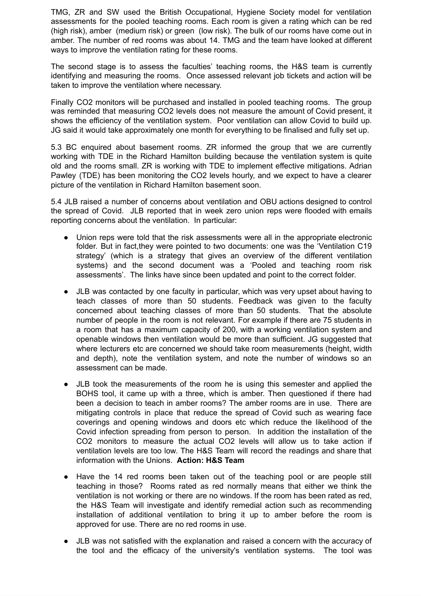TMG, ZR and SW used the British Occupational, Hygiene Society model for ventilation assessments for the pooled teaching rooms. Each room is given a rating which can be red (high risk), amber (medium risk) or green (low risk). The bulk of our rooms have come out in amber. The number of red rooms was about 14. TMG and the team have looked at different ways to improve the ventilation rating for these rooms.

The second stage is to assess the faculties' teaching rooms, the H&S team is currently identifying and measuring the rooms. Once assessed relevant job tickets and action will be taken to improve the ventilation where necessary.

Finally CO2 monitors will be purchased and installed in pooled teaching rooms. The group was reminded that measuring CO2 levels does not measure the amount of Covid present, it shows the efficiency of the ventilation system. Poor ventilation can allow Covid to build up. JG said it would take approximately one month for everything to be finalised and fully set up.

5.3 BC enquired about basement rooms. ZR informed the group that we are currently working with TDE in the Richard Hamilton building because the ventilation system is quite old and the rooms small. ZR is working with TDE to implement effective mitigations. Adrian Pawley (TDE) has been monitoring the CO2 levels hourly, and we expect to have a clearer picture of the ventilation in Richard Hamilton basement soon.

5.4 JLB raised a number of concerns about ventilation and OBU actions designed to control the spread of Covid. JLB reported that in week zero union reps were flooded with emails reporting concerns about the ventilation. In particular:

- Union reps were told that the risk assessments were all in the appropriate electronic folder. But in fact,they were pointed to two documents: one was the 'Ventilation C19 strategy' (which is a strategy that gives an overview of the different ventilation systems) and the second document was a 'Pooled and teaching room risk assessments'. The links have since been updated and point to the correct folder.
- JLB was contacted by one faculty in particular, which was very upset about having to teach classes of more than 50 students. Feedback was given to the faculty concerned about teaching classes of more than 50 students. That the absolute number of people in the room is not relevant. For example if there are 75 students in a room that has a maximum capacity of 200, with a working ventilation system and openable windows then ventilation would be more than sufficient. JG suggested that where lecturers etc are concerned we should take room measurements (height, width and depth), note the ventilation system, and note the number of windows so an assessment can be made.
- JLB took the measurements of the room he is using this semester and applied the BOHS tool, it came up with a three, which is amber. Then questioned if there had been a decision to teach in amber rooms? The amber rooms are in use. There are mitigating controls in place that reduce the spread of Covid such as wearing face coverings and opening windows and doors etc which reduce the likelihood of the Covid infection spreading from person to person. In addition the installation of the CO2 monitors to measure the actual CO2 levels will allow us to take action if ventilation levels are too low. The H&S Team will record the readings and share that information with the Unions. **Action: H&S Team**
- Have the 14 red rooms been taken out of the teaching pool or are people still teaching in those? Rooms rated as red normally means that either we think the ventilation is not working or there are no windows. If the room has been rated as red, the H&S Team will investigate and identify remedial action such as recommending installation of additional ventilation to bring it up to amber before the room is approved for use. There are no red rooms in use.
- JLB was not satisfied with the explanation and raised a concern with the accuracy of the tool and the efficacy of the university's ventilation systems. The tool was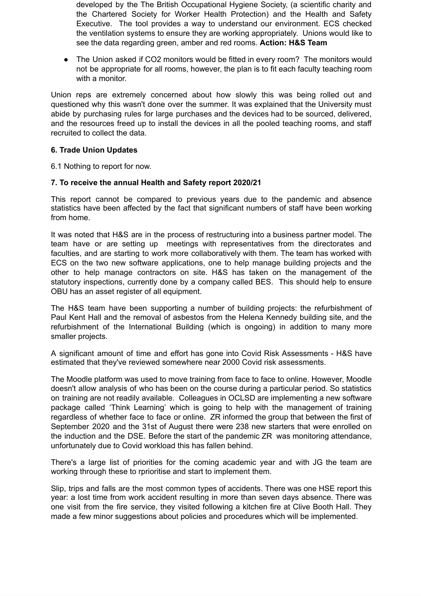developed by the The British Occupational Hygiene Society, (a scientific charity and the Chartered Society for Worker Health Protection) and the [Health](http://tracking.vuelio.co.uk/tracking/click?d=N82kX3BRuNiwBjduwwQIWGK-2KWv_EonG1y0yZDWqfB_bDg--AbMUaXTxDYyjwNbUH4AXaIGKNQ-zGGyyWSV2vmqpZrLwvrz81h85zYXmiZ9fpNq5T_w5cOWPeDiVnopdA2) and Safety [Executive.](http://tracking.vuelio.co.uk/tracking/click?d=N82kX3BRuNiwBjduwwQIWGK-2KWv_EonG1y0yZDWqfB_bDg--AbMUaXTxDYyjwNbUH4AXaIGKNQ-zGGyyWSV2vmqpZrLwvrz81h85zYXmiZ9fpNq5T_w5cOWPeDiVnopdA2) The tool provides a way to understand our environment. ECS checked the ventilation systems to ensure they are working appropriately. Unions would like to see the data regarding green, amber and red rooms. **Action: H&S Team**

• The Union asked if CO2 monitors would be fitted in every room? The monitors would not be appropriate for all rooms, however, the plan is to fit each faculty teaching room with a monitor.

Union reps are extremely concerned about how slowly this was being rolled out and questioned why this wasn't done over the summer. It was explained that the University must abide by purchasing rules for large purchases and the devices had to be sourced, delivered, and the resources freed up to install the devices in all the pooled teaching rooms, and staff recruited to collect the data.

# **6. Trade Union Updates**

6.1 Nothing to report for now.

# **7. To receive the annual Health and Safety report 2020/21**

This report cannot be compared to previous years due to the pandemic and absence statistics have been affected by the fact that significant numbers of staff have been working from home.

It was noted that H&S are in the process of restructuring into a business partner model. The team have or are setting up meetings with representatives from the directorates and faculties, and are starting to work more collaboratively with them. The team has worked with ECS on the two new software applications, one to help manage building projects and the other to help manage contractors on site. H&S has taken on the management of the statutory inspections, currently done by a company called BES. This should help to ensure OBU has an asset register of all equipment.

The H&S team have been supporting a number of building projects: the refurbishment of Paul Kent Hall and the removal of asbestos from the Helena Kennedy building site, and the refurbishment of the International Building (which is ongoing) in addition to many more smaller projects.

A significant amount of time and effort has gone into Covid Risk Assessments - H&S have estimated that they've reviewed somewhere near 2000 Covid risk assessments.

The Moodle platform was used to move training from face to face to online. However, Moodle doesn't allow analysis of who has been on the course during a particular period. So statistics on training are not readily available. Colleagues in OCLSD are implementing a new software package called 'Think Learning' which is going to help with the management of training regardless of whether face to face or online. ZR informed the group that between the first of September 2020 and the 31st of August there were 238 new starters that were enrolled on the induction and the DSE. Before the start of the pandemic ZR was monitoring attendance, unfortunately due to Covid workload this has fallen behind.

There's a large list of priorities for the coming academic year and with JG the team are working through these to rprioritise and start to implement them.

Slip, trips and falls are the most common types of accidents. There was one HSE report this year: a lost time from work accident resulting in more than seven days absence. There was one visit from the fire service, they visited following a kitchen fire at Clive Booth Hall. They made a few minor suggestions about policies and procedures which will be implemented.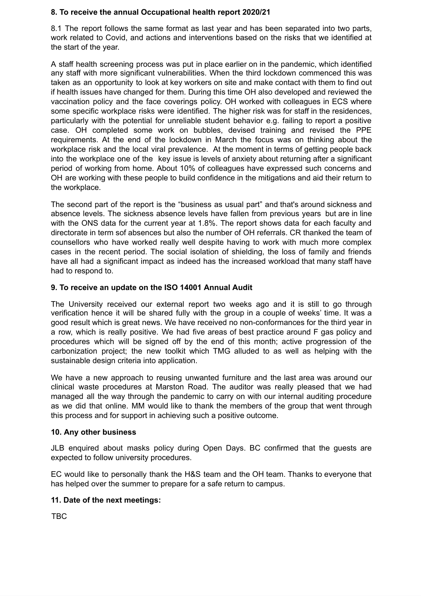#### **8. To receive the annual Occupational health report 2020/21**

8.1 The report follows the same format as last year and has been separated into two parts, work related to Covid, and actions and interventions based on the risks that we identified at the start of the year.

A staff health screening process was put in place earlier on in the pandemic, which identified any staff with more significant vulnerabilities. When the third lockdown commenced this was taken as an opportunity to look at key workers on site and make contact with them to find out if health issues have changed for them. During this time OH also developed and reviewed the vaccination policy and the face coverings policy. OH worked with colleagues in ECS where some specific workplace risks were identified. The higher risk was for staff in the residences, particularly with the potential for unreliable student behavior e.g. failing to report a positive case. OH completed some work on bubbles, devised training and revised the PPE requirements. At the end of the lockdown in March the focus was on thinking about the workplace risk and the local viral prevalence. At the moment in terms of getting people back into the workplace one of the key issue is levels of anxiety about returning after a significant period of working from home. About 10% of colleagues have expressed such concerns and OH are working with these people to build confidence in the mitigations and aid their return to the workplace.

The second part of the report is the "business as usual part" and that's around sickness and absence levels. The sickness absence levels have fallen from previous years but are in line with the ONS data for the current year at 1.8%. The report shows data for each faculty and directorate in term sof absences but also the number of OH referrals. CR thanked the team of counsellors who have worked really well despite having to work with much more complex cases in the recent period. The social isolation of shielding, the loss of family and friends have all had a significant impact as indeed has the increased workload that many staff have had to respond to.

# **9. To receive an update on the ISO 14001 Annual Audit**

The University received our external report two weeks ago and it is still to go through verification hence it will be shared fully with the group in a couple of weeks' time. It was a good result which is great news. We have received no non-conformances for the third year in a row, which is really positive. We had five areas of best practice around F gas policy and procedures which will be signed off by the end of this month; active progression of the carbonization project; the new toolkit which TMG alluded to as well as helping with the sustainable design criteria into application.

We have a new approach to reusing unwanted furniture and the last area was around our clinical waste procedures at Marston Road. The auditor was really pleased that we had managed all the way through the pandemic to carry on with our internal auditing procedure as we did that online. MM would like to thank the members of the group that went through this process and for support in achieving such a positive outcome.

#### **10. Any other business**

JLB enquired about masks policy during Open Days. BC confirmed that the guests are expected to follow university procedures.

EC would like to personally thank the H&S team and the OH team. Thanks to everyone that has helped over the summer to prepare for a safe return to campus.

#### **11. Date of the next meetings:**

TBC